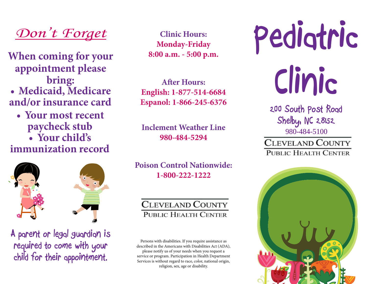

**When coming for your appointment please bring: • Medicaid, Medicare and/or insurance card**

**• Your most recent • Your child's paycheck stub**

**immunization record**



**A parent or legal guardian is required to come with your child for their appointment.** 

**Clinic Hours: Monday-Friday 8:00 a.m. - 5:00 p.m.**

**After Hours: English: 1-877-514-6684 Espanol: 1-866-245-6376**

**Inclement Weather Line 980-484-5294**

**Poison Control Nationwide: 1-800-222-1222**

## **CLEVELAND COUNTY** PUBLIC HEALTH CENTER

Persons with disabilities. If you require assistance as described in the Americans with Disabilities Act (ADA), please notify us of your needs when you request a service or program. Participation in Health Department Services is without regard to race, color, national origin, religion, sex, age or disability.

**Pediatric Clinic**

> **200 South Post Road Shelby, NC 28152** 980-484-5100**CLEVELAND COUNTY PUBLIC HEALTH CENTER**